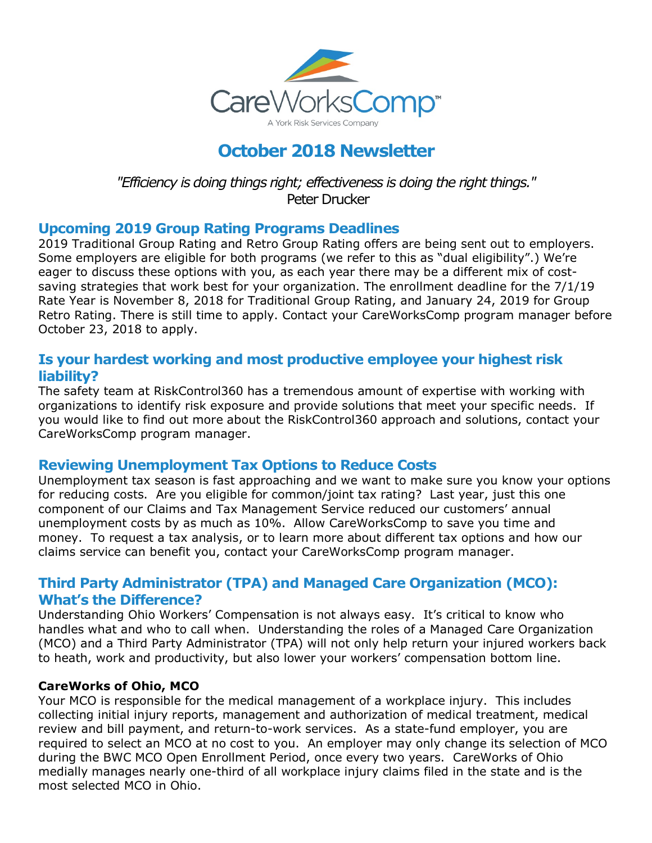

# **October 2018 Newsletter**

*"Efficiency is doing things right; effectiveness is doing the right things."* Peter Drucker

#### **Upcoming 2019 Group Rating Programs Deadlines**

2019 Traditional Group Rating and Retro Group Rating offers are being sent out to employers. Some employers are eligible for both programs (we refer to this as "dual eligibility".) We're eager to discuss these options with you, as each year there may be a different mix of costsaving strategies that work best for your organization. The enrollment deadline for the 7/1/19 Rate Year is November 8, 2018 for Traditional Group Rating, and January 24, 2019 for Group Retro Rating. There is still time to apply. Contact your CareWorksComp program manager before October 23, 2018 to apply.

#### **Is your hardest working and most productive employee your highest risk liability?**

The safety team at RiskControl360 has a tremendous amount of expertise with working with organizations to identify risk exposure and provide solutions that meet your specific needs. If you would like to find out more about the RiskControl360 approach and solutions, contact your CareWorksComp program manager.

### **Reviewing Unemployment Tax Options to Reduce Costs**

Unemployment tax season is fast approaching and we want to make sure you know your options for reducing costs. Are you eligible for common/joint tax rating? Last year, just this one component of our Claims and Tax Management Service reduced our customers' annual unemployment costs by as much as 10%. Allow CareWorksComp to save you time and money. To request a tax analysis, or to learn more about different tax options and how our claims service can benefit you, contact your CareWorksComp program manager.

## **Third Party Administrator (TPA) and Managed Care Organization (MCO): What's the Difference?**

Understanding Ohio Workers' Compensation is not always easy. It's critical to know who handles what and who to call when. Understanding the roles of a Managed Care Organization (MCO) and a Third Party Administrator (TPA) will not only help return your injured workers back to heath, work and productivity, but also lower your workers' compensation bottom line.

#### **CareWorks of Ohio, MCO**

Your MCO is responsible for the medical management of a workplace injury. This includes collecting initial injury reports, management and authorization of medical treatment, medical review and bill payment, and return-to-work services. As a state-fund employer, you are required to select an MCO at no cost to you. An employer may only change its selection of MCO during the BWC MCO Open Enrollment Period, once every two years. CareWorks of Ohio medially manages nearly one-third of all workplace injury claims filed in the state and is the most selected MCO in Ohio.